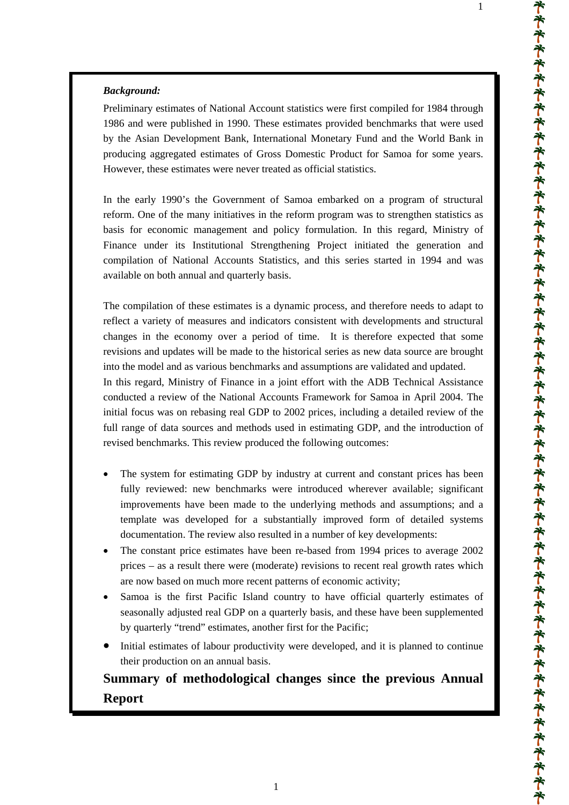### *Background:*

Preliminary estimates of National Account statistics were first compiled for 1984 through 1986 and were published in 1990. These estimates provided benchmarks that were used by the Asian Development Bank, International Monetary Fund and the World Bank in producing aggregated estimates of Gross Domestic Product for Samoa for some years. However, these estimates were never treated as official statistics.

In the early 1990's the Government of Samoa embarked on a program of structural reform. One of the many initiatives in the reform program was to strengthen statistics as basis for economic management and policy formulation. In this regard, Ministry of Finance under its Institutional Strengthening Project initiated the generation and compilation of National Accounts Statistics, and this series started in 1994 and was available on both annual and quarterly basis.

The compilation of these estimates is a dynamic process, and therefore needs to adapt to reflect a variety of measures and indicators consistent with developments and structural changes in the economy over a period of time. It is therefore expected that some revisions and updates will be made to the historical series as new data source are brought into the model and as various benchmarks and assumptions are validated and updated.

In this regard, Ministry of Finance in a joint effort with the ADB Technical Assistance conducted a review of the National Accounts Framework for Samoa in April 2004. The initial focus was on rebasing real GDP to 2002 prices, including a detailed review of the full range of data sources and methods used in estimating GDP, and the introduction of revised benchmarks. This review produced the following outcomes:

- The system for estimating GDP by industry at current and constant prices has been fully reviewed: new benchmarks were introduced wherever available; significant improvements have been made to the underlying methods and assumptions; and a template was developed for a substantially improved form of detailed systems documentation. The review also resulted in a number of key developments:
- The constant price estimates have been re-based from 1994 prices to average 2002 prices – as a result there were (moderate) revisions to recent real growth rates which are now based on much more recent patterns of economic activity;
- Samoa is the first Pacific Island country to have official quarterly estimates of seasonally adjusted real GDP on a quarterly basis, and these have been supplemented by quarterly "trend" estimates, another first for the Pacific;
- Initial estimates of labour productivity were developed, and it is planned to continue their production on an annual basis.

# **Summary of methodological changes since the previous Annual Report**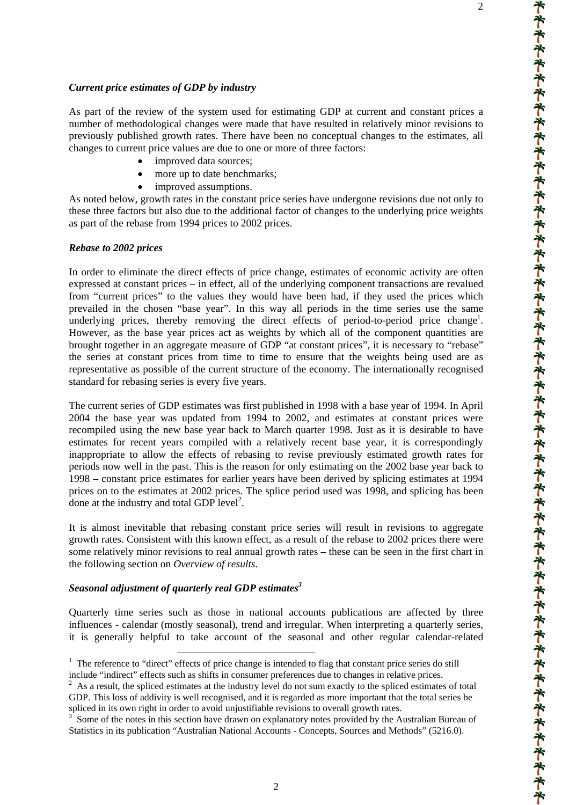### *Current price estimates of GDP by industry*

As part of the review of the system used for estimating GDP at current and constant prices a number of methodological changes were made that have resulted in relatively minor revisions to previously published growth rates. There have been no conceptual changes to the estimates, all changes to current price values are due to one or more of three factors:

- improved data sources;
- more up to date benchmarks;
- improved assumptions.

As noted below, growth rates in the constant price series have undergone revisions due not only to these three factors but also due to the additional factor of changes to the underlying price weights as part of the rebase from 1994 prices to 2002 prices.

### *Rebase to 2002 prices*

In order to eliminate the direct effects of price change, estimates of economic activity are often expressed at constant prices – in effect, all of the underlying component transactions are revalued from "current prices" to the values they would have been had, if they used the prices which prevailed in the chosen "base year". In this way all periods in the time series use the same underlying prices, thereby removing the direct effects of period-to-period price change<sup>1</sup>. However, as the base year prices act as weights by which all of the component quantities are brought together in an aggregate measure of GDP "at constant prices", it is necessary to "rebase" the series at constant prices from time to time to ensure that the weights being used are as representative as possible of the current structure of the economy. The internationally recognised standard for rebasing series is every five years.

The current series of GDP estimates was first published in 1998 with a base year of 1994. In April 2004 the base year was updated from 1994 to 2002, and estimates at constant prices were recompiled using the new base year back to March quarter 1998. Just as it is desirable to have estimates for recent years compiled with a relatively recent base year, it is correspondingly inappropriate to allow the effects of rebasing to revise previously estimated growth rates for periods now well in the past. This is the reason for only estimating on the 2002 base year back to 1998 – constant price estimates for earlier years have been derived by splicing estimates at 1994 prices on to the estimates at 2002 prices. The splice period used was 1998, and splicing has been done at the industry and total GDP  $level^2$ .

It is almost inevitable that rebasing constant price series will result in revisions to aggregate growth rates. Consistent with this known effect, as a result of the rebase to 2002 prices there were some relatively minor revisions to real annual growth rates – these can be seen in the first chart in the following section on *Overview of results*.

### *Seasonal adjustment of quarterly real GDP estimate[s3](#page-1-2)*

Quarterly time series such as those in national accounts publications are affected by three influences - calendar (mostly seasonal), trend and irregular. When interpreting a quarterly series, it is generally helpful to take account of the seasonal and other regular calendar-related

<span id="page-1-0"></span><sup>&</sup>lt;sup>1</sup> The reference to "direct" effects of price change is intended to flag that constant price series do still include "indirect" effects such as shifts in consumer preferences due to changes in relative prices. 2

<span id="page-1-1"></span> $2$  As a result, the spliced estimates at the industry level do not sum exactly to the spliced estimates of total GDP. This loss of addivity is well recognised, and it is regarded as more important that the total series be spliced in its own right in order to avoid unjustifiable revisions to overall growth rates.

<span id="page-1-2"></span><sup>3</sup> Some of the notes in this section have drawn on explanatory notes provided by the Australian Bureau of Statistics in its publication "Australian National Accounts - Concepts, Sources and Methods" (5216.0).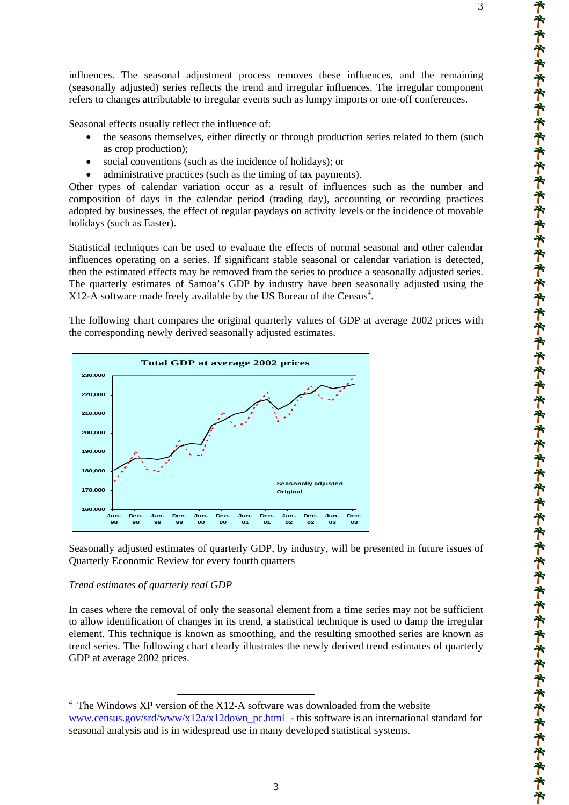influences. The seasonal adjustment process removes these influences, and the remaining (seasonally adjusted) series reflects the trend and irregular influences. The irregular component refers to changes attributable to irregular events such as lumpy imports or one-off conferences.

Seasonal effects usually reflect the influence of:

- the seasons themselves, either directly or through production series related to them (such as crop production);
- social conventions (such as the incidence of holidays); or
- administrative practices (such as the timing of tax payments).

Other types of calendar variation occur as a result of influences such as the number and composition of days in the calendar period (trading day), accounting or recording practices adopted by businesses, the effect of regular paydays on activity levels or the incidence of movable holidays (such as Easter).

Statistical techniques can be used to evaluate the effects of normal seasonal and other calendar influences operating on a series. If significant stable seasonal or calendar variation is detected, then the estimated effects may be removed from the series to produce a seasonally adjusted series. The quarterly estimates of Samoa's GDP by industry have been seasonally adjusted using the  $X12-A$  software made freely available by the US Bureau of the Census<sup>[4](#page-2-0)</sup>.

The following chart compares the original quarterly values of GDP at average 2002 prices with the corresponding newly derived seasonally adjusted estimates.



Seasonally adjusted estimates of quarterly GDP, by industry, will be presented in future issues of Quarterly Economic Review for every fourth quarters

### *Trend estimates of quarterly real GDP*

 $\overline{a}$ 

In cases where the removal of only the seasonal element from a time series may not be sufficient to allow identification of changes in its trend, a statistical technique is used to damp the irregular element. This technique is known as smoothing, and the resulting smoothed series are known as trend series. The following chart clearly illustrates the newly derived trend estimates of quarterly GDP at average 2002 prices.

<span id="page-2-0"></span><sup>&</sup>lt;sup>4</sup> The Windows XP version of the X12-A software was downloaded from the website [www.census.gov/srd/www/x12a/x12down\\_pc.html](http://www.census.gov/srd/www/x12a/x12down_pc.html) - this software is an international standard for seasonal analysis and is in widespread use in many developed statistical systems.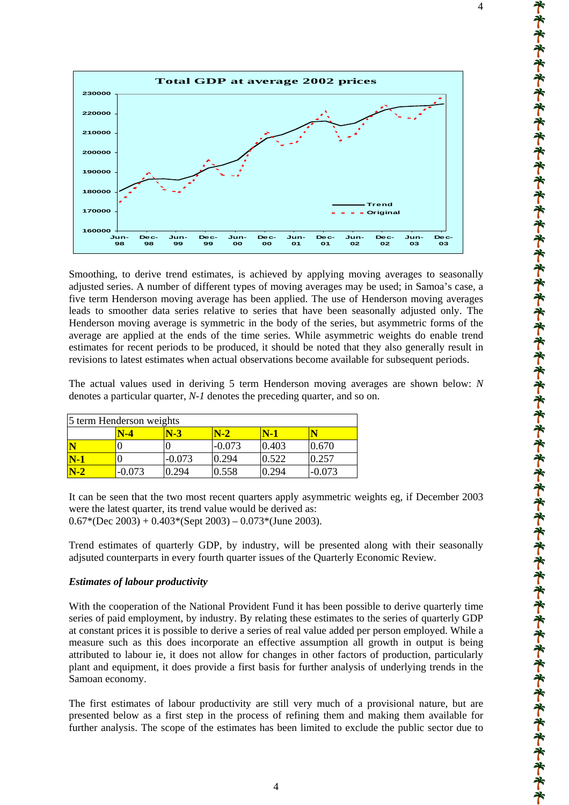

Smoothing, to derive trend estimates, is achieved by applying moving averages to seasonally adjusted series. A number of different types of moving averages may be used; in Samoa's case, a five term Henderson moving average has been applied. The use of Henderson moving averages leads to smoother data series relative to series that have been seasonally adjusted only. The Henderson moving average is symmetric in the body of the series, but asymmetric forms of the average are applied at the ends of the time series. While asymmetric weights do enable trend estimates for recent periods to be produced, it should be noted that they also generally result in revisions to latest estimates when actual observations become available for subsequent periods.

The actual values used in deriving 5 term Henderson moving averages are shown below: *N* denotes a particular quarter, *N-1* denotes the preceding quarter, and so on.

| 5 term Henderson weights |          |          |          |       |          |  |  |  |
|--------------------------|----------|----------|----------|-------|----------|--|--|--|
|                          | N-4      | $N-3$    | $N-2$    |       |          |  |  |  |
| N                        |          |          | $-0.073$ | 0.403 | 0.670    |  |  |  |
| $N-1$                    |          | $-0.073$ | 0.294    | 0.522 | 0.257    |  |  |  |
| $N-2$                    | $-0.073$ | 0.294    | 0.558    | 0.294 | $-0.073$ |  |  |  |

It can be seen that the two most recent quarters apply asymmetric weights eg, if December 2003 were the latest quarter, its trend value would be derived as:  $0.67*(Dec\ 2003) + 0.403*(Sept\ 2003) - 0.073*(June\ 2003).$ 

Trend estimates of quarterly GDP, by industry, will be presented along with their seasonally adjsuted counterparts in every fourth quarter issues of the Quarterly Economic Review.

### *Estimates of labour productivity*

With the cooperation of the National Provident Fund it has been possible to derive quarterly time series of paid employment, by industry. By relating these estimates to the series of quarterly GDP at constant prices it is possible to derive a series of real value added per person employed. While a measure such as this does incorporate an effective assumption all growth in output is being attributed to labour ie, it does not allow for changes in other factors of production, particularly plant and equipment, it does provide a first basis for further analysis of underlying trends in the Samoan economy.

The first estimates of labour productivity are still very much of a provisional nature, but are presented below as a first step in the process of refining them and making them available for further analysis. The scope of the estimates has been limited to exclude the public sector due to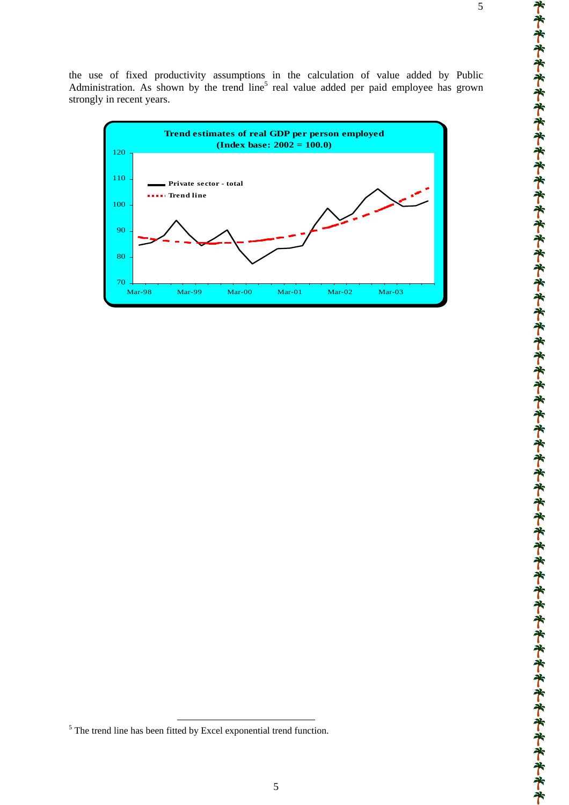

<span id="page-4-0"></span><sup>&</sup>lt;sup>5</sup> The trend line has been fitted by Excel exponential trend function.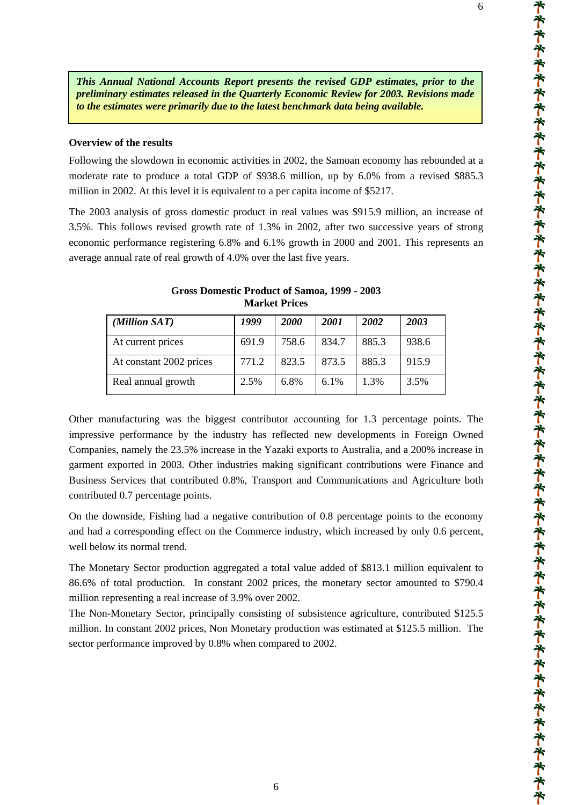*This Annual National Accounts Report presents the revised GDP estimates, prior to the preliminary estimates released in the Quarterly Economic Review for 2003. Revisions made to the estimates were primarily due to the latest benchmark data being available.* 

### **Overview of the results**

Following the slowdown in economic activities in 2002, the Samoan economy has rebounded at a moderate rate to produce a total GDP of \$938.6 million, up by 6.0% from a revised \$885.3 million in 2002. At this level it is equivalent to a per capita income of \$5217.

The 2003 analysis of gross domestic product in real values was \$915.9 million, an increase of 3.5%. This follows revised growth rate of 1.3% in 2002, after two successive years of strong economic performance registering 6.8% and 6.1% growth in 2000 and 2001. This represents an average annual rate of real growth of 4.0% over the last five years.

| (Million SAT)           | 1999  | 2000  | <b>2001</b> | 2002  | 2003  |
|-------------------------|-------|-------|-------------|-------|-------|
| At current prices       | 691.9 | 758.6 | 834.7       | 885.3 | 938.6 |
| At constant 2002 prices | 771.2 | 823.5 | 873.5       | 885.3 | 915.9 |
| Real annual growth      | 2.5%  | 6.8%  | 6.1%        | 1.3%  | 3.5%  |

### **Gross Domestic Product of Samoa, 1999 - 2003 Market Prices**

Other manufacturing was the biggest contributor accounting for 1.3 percentage points. The impressive performance by the industry has reflected new developments in Foreign Owned Companies, namely the 23.5% increase in the Yazaki exports to Australia, and a 200% increase in garment exported in 2003. Other industries making significant contributions were Finance and Business Services that contributed 0.8%, Transport and Communications and Agriculture both contributed 0.7 percentage points.

On the downside, Fishing had a negative contribution of 0.8 percentage points to the economy and had a corresponding effect on the Commerce industry, which increased by only 0.6 percent, well below its normal trend.

The Monetary Sector production aggregated a total value added of \$813.1 million equivalent to 86.6% of total production. In constant 2002 prices, the monetary sector amounted to \$790.4 million representing a real increase of 3.9% over 2002.

The Non-Monetary Sector, principally consisting of subsistence agriculture, contributed \$125.5 million. In constant 2002 prices, Non Monetary production was estimated at \$125.5 million. The sector performance improved by 0.8% when compared to 2002.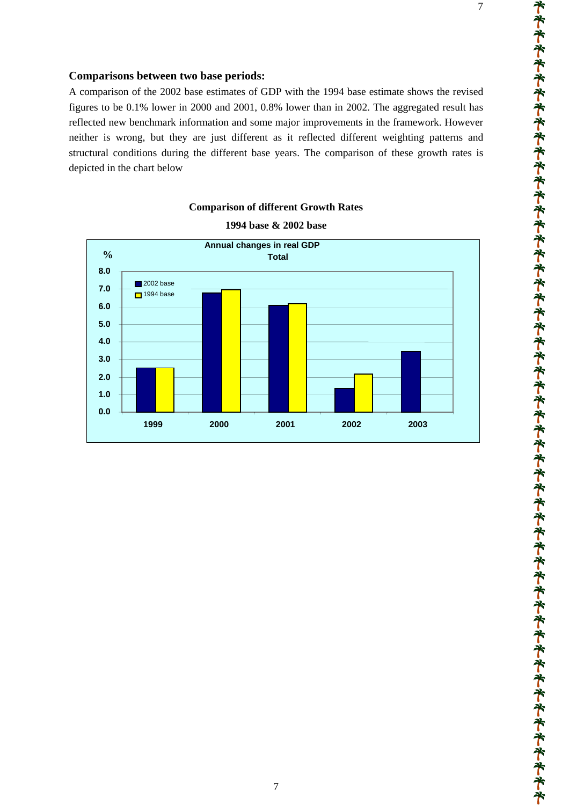### **Comparisons between two base periods:**

A comparison of the 2002 base estimates of GDP with the 1994 base estimate shows the revised figures to be 0.1% lower in 2000 and 2001, 0.8% lower than in 2002. The aggregated result has reflected new benchmark information and some major improvements in the framework. However neither is wrong, but they are just different as it reflected different weighting patterns and structural conditions during the different base years. The comparison of these growth rates is depicted in the chart below



# **Comparison of different Growth Rates 1994 base & 2002 base**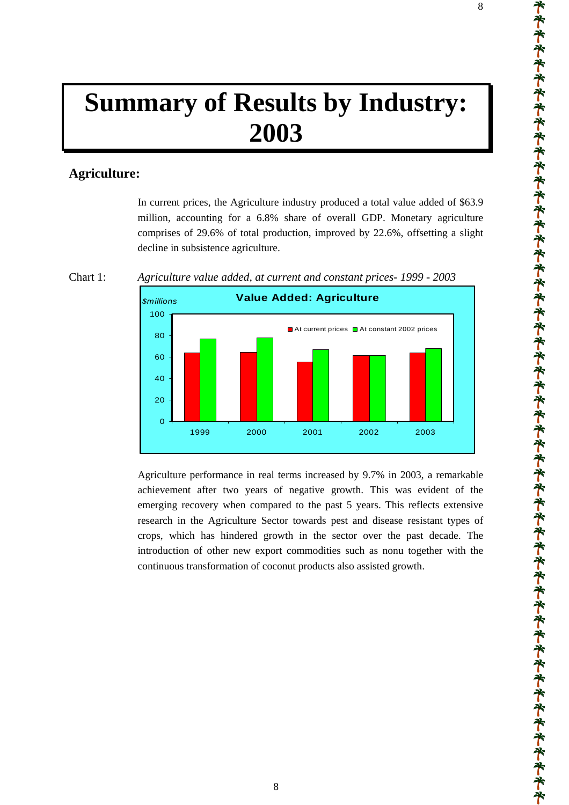# **Summary of Results by Industry: 2003**

# **Agriculture:**

In current prices, the Agriculture industry produced a total value added of \$63.9 million, accounting for a 6.8% share of overall GDP. Monetary agriculture comprises of 29.6% of total production, improved by 22.6%, offsetting a slight decline in subsistence agriculture.



Chart 1: *Agriculture value added, at current and constant prices- 1999 - 2003*



Agriculture performance in real terms increased by 9.7% in 2003, a remarkable achievement after two years of negative growth. This was evident of the emerging recovery when compared to the past 5 years. This reflects extensive research in the Agriculture Sector towards pest and disease resistant types of crops, which has hindered growth in the sector over the past decade. The introduction of other new export commodities such as nonu together with the continuous transformation of coconut products also assisted growth.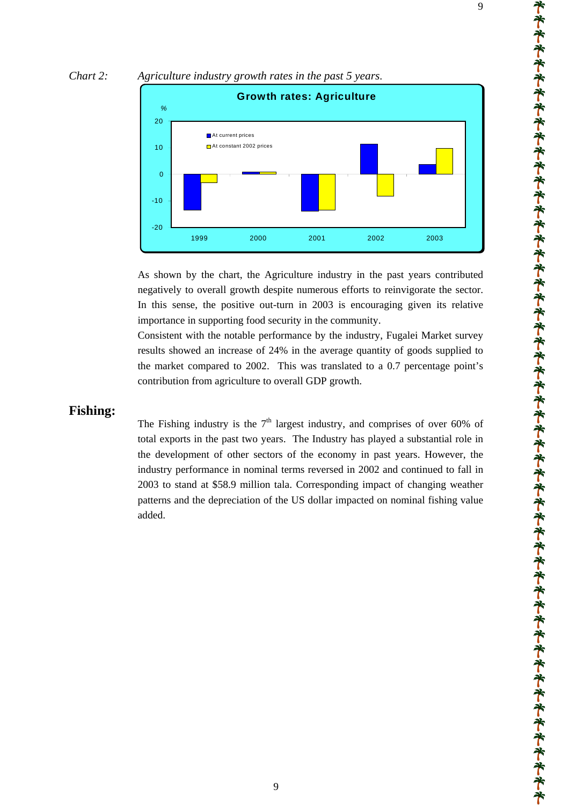



As shown by the chart, the Agriculture industry in the past years contributed negatively to overall growth despite numerous efforts to reinvigorate the sector. In this sense, the positive out-turn in 2003 is encouraging given its relative importance in supporting food security in the community.

Consistent with the notable performance by the industry, Fugalei Market survey results showed an increase of 24% in the average quantity of goods supplied to the market compared to 2002. This was translated to a 0.7 percentage point's contribution from agriculture to overall GDP growth.

### **Fishing:**

The Fishing industry is the  $7<sup>th</sup>$  largest industry, and comprises of over 60% of total exports in the past two years. The Industry has played a substantial role in the development of other sectors of the economy in past years. However, the industry performance in nominal terms reversed in 2002 and continued to fall in 2003 to stand at \$58.9 million tala. Corresponding impact of changing weather patterns and the depreciation of the US dollar impacted on nominal fishing value added.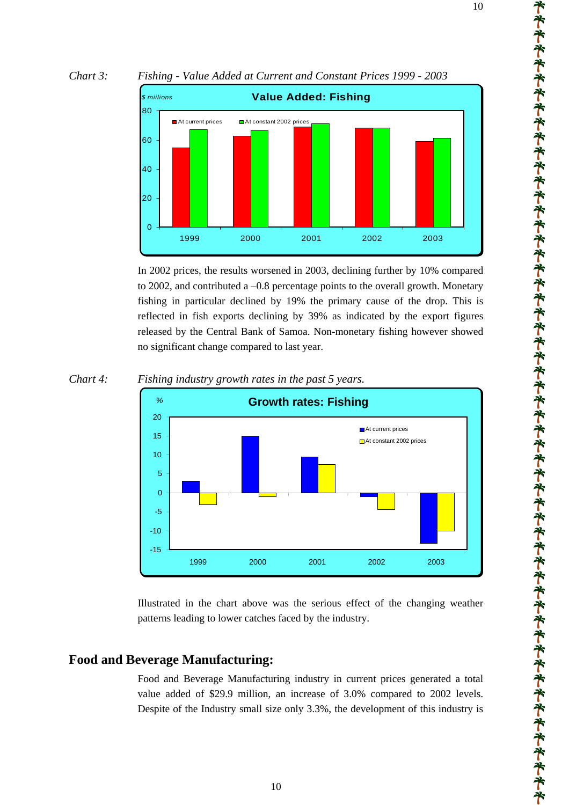



In 2002 prices, the results worsened in 2003, declining further by 10% compared to 2002, and contributed a –0.8 percentage points to the overall growth. Monetary fishing in particular declined by 19% the primary cause of the drop. This is reflected in fish exports declining by 39% as indicated by the export figures released by the Central Bank of Samoa. Non-monetary fishing however showed no significant change compared to last year.



*Chart 4: Fishing industry growth rates in the past 5 years.* 

Illustrated in the chart above was the serious effect of the changing weather patterns leading to lower catches faced by the industry.

# **Food and Beverage Manufacturing:**

Food and Beverage Manufacturing industry in current prices generated a total value added of \$29.9 million, an increase of 3.0% compared to 2002 levels. Despite of the Industry small size only 3.3%, the development of this industry is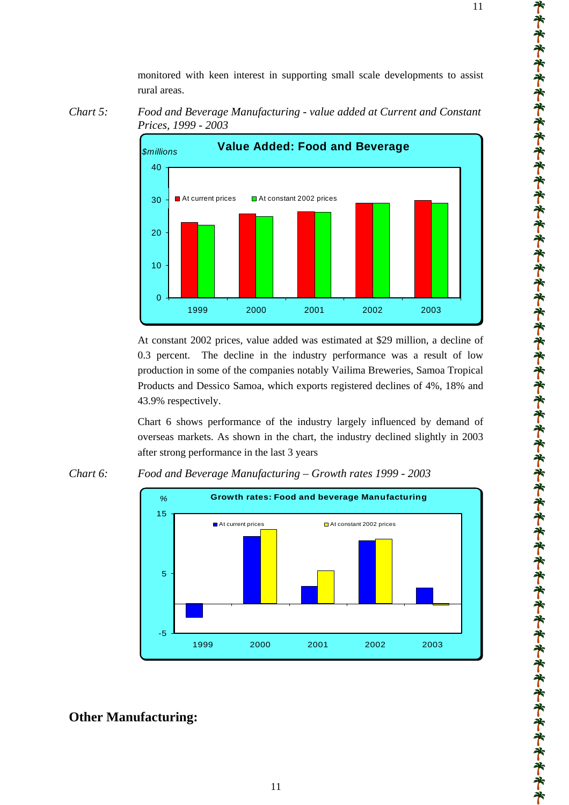monitored with keen interest in supporting small scale developments to assist rural areas.





At constant 2002 prices, value added was estimated at \$29 million, a decline of 0.3 percent. The decline in the industry performance was a result of low production in some of the companies notably Vailima Breweries, Samoa Tropical Products and Dessico Samoa, which exports registered declines of 4%, 18% and 43.9% respectively.

Chart 6 shows performance of the industry largely influenced by demand of overseas markets. As shown in the chart, the industry declined slightly in 2003 after strong performance in the last 3 years





# **Other Manufacturing:**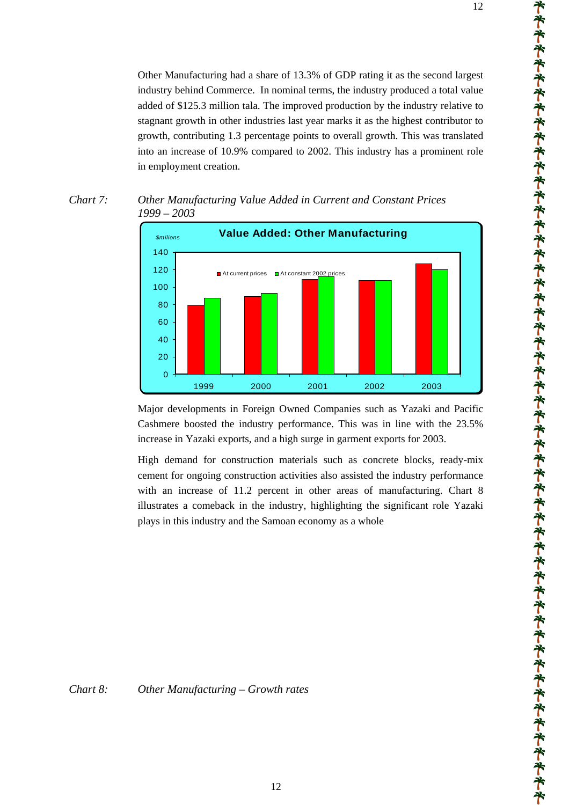Other Manufacturing had a share of 13.3% of GDP rating it as the second largest industry behind Commerce. In nominal terms, the industry produced a total value added of \$125.3 million tala. The improved production by the industry relative to stagnant growth in other industries last year marks it as the highest contributor to growth, contributing 1.3 percentage points to overall growth. This was translated into an increase of 10.9% compared to 2002. This industry has a prominent role in employment creation.



*Chart 7: Other Manufacturing Value Added in Current and Constant Prices 1999 – 2003* 

Major developments in Foreign Owned Companies such as Yazaki and Pacific Cashmere boosted the industry performance. This was in line with the 23.5% increase in Yazaki exports, and a high surge in garment exports for 2003.

High demand for construction materials such as concrete blocks, ready-mix cement for ongoing construction activities also assisted the industry performance with an increase of 11.2 percent in other areas of manufacturing. Chart 8 illustrates a comeback in the industry, highlighting the significant role Yazaki plays in this industry and the Samoan economy as a whole

*Chart 8: Other Manufacturing – Growth rates*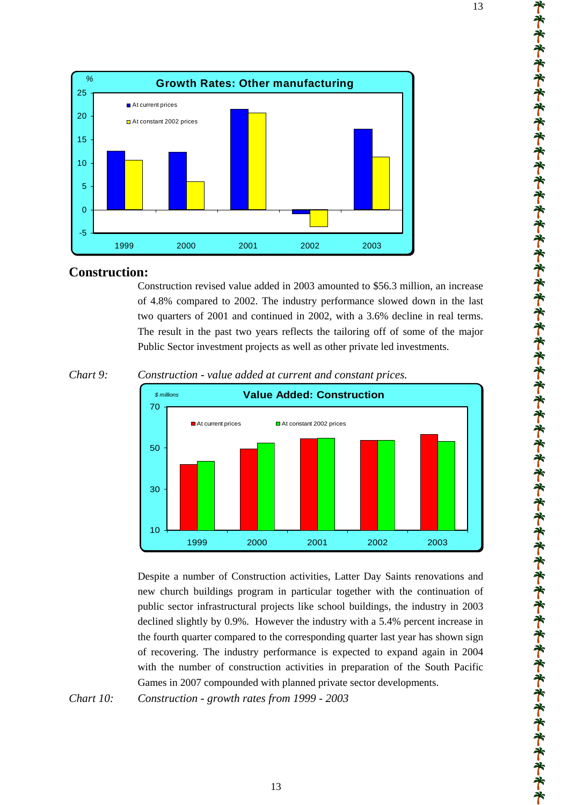

### **Construction:**

Construction revised value added in 2003 amounted to \$56.3 million, an increase of 4.8% compared to 2002. The industry performance slowed down in the last two quarters of 2001 and continued in 2002, with a 3.6% decline in real terms. The result in the past two years reflects the tailoring off of some of the major Public Sector investment projects as well as other private led investments.



*Chart 9: Construction - value added at current and constant prices.* 

Despite a number of Construction activities, Latter Day Saints renovations and new church buildings program in particular together with the continuation of public sector infrastructural projects like school buildings, the industry in 2003 declined slightly by 0.9%. However the industry with a 5.4% percent increase in the fourth quarter compared to the corresponding quarter last year has shown sign of recovering. The industry performance is expected to expand again in 2004 with the number of construction activities in preparation of the South Pacific Games in 2007 compounded with planned private sector developments.

*Chart 10: Construction - growth rates from 1999 - 2003*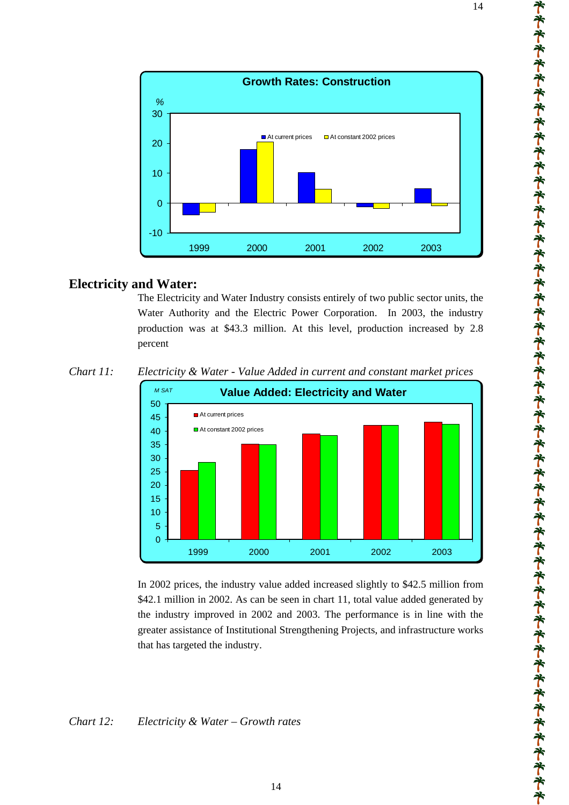

### **Electricity and Water:**

The Electricity and Water Industry consists entirely of two public sector units, the Water Authority and the Electric Power Corporation. In 2003, the industry production was at \$43.3 million. At this level, production increased by 2.8 percent

*Chart 11: Electricity & Water - Value Added in current and constant market prices* 



In 2002 prices, the industry value added increased slightly to \$42.5 million from \$42.1 million in 2002. As can be seen in chart 11, total value added generated by the industry improved in 2002 and 2003. The performance is in line with the greater assistance of Institutional Strengthening Projects, and infrastructure works that has targeted the industry.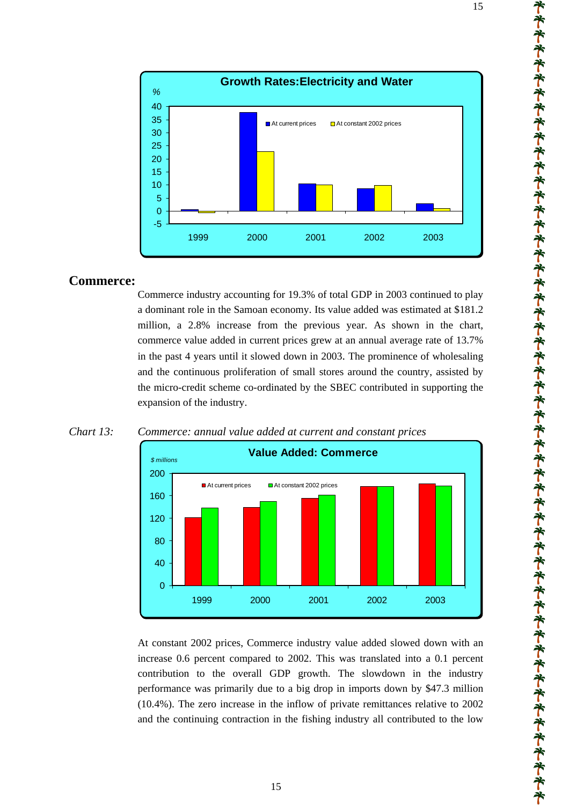

# **Commerce:**

 $\Omega$ 

40

80

120

160

200

*\$ millions*

*%*

a dominant role in the Samoan economy. Its value added was estimated at \$181.2 million, a 2.8% increase from the previous year. As shown in the chart, commerce value added in current prices grew at an annual average rate of 13.7% in the past 4 years until it slowed down in 2003. The prominence of wholesaling and the continuous proliferation of small stores around the country, assisted by the micro-credit scheme co-ordinated by the SBEC contributed in supporting the expansion of the industry.



At constant 2002 prices, Commerce industry value added slowed down with an increase 0.6 percent compared to 2002. This was translated into a 0.1 percent contribution to the overall GDP growth. The slowdown in the industry performance was primarily due to a big drop in imports down by \$47.3 million (10.4%). The zero increase in the inflow of private remittances relative to 2002 and the continuing contraction in the fishing industry all contributed to the low

1999 2000 2001 2002 2003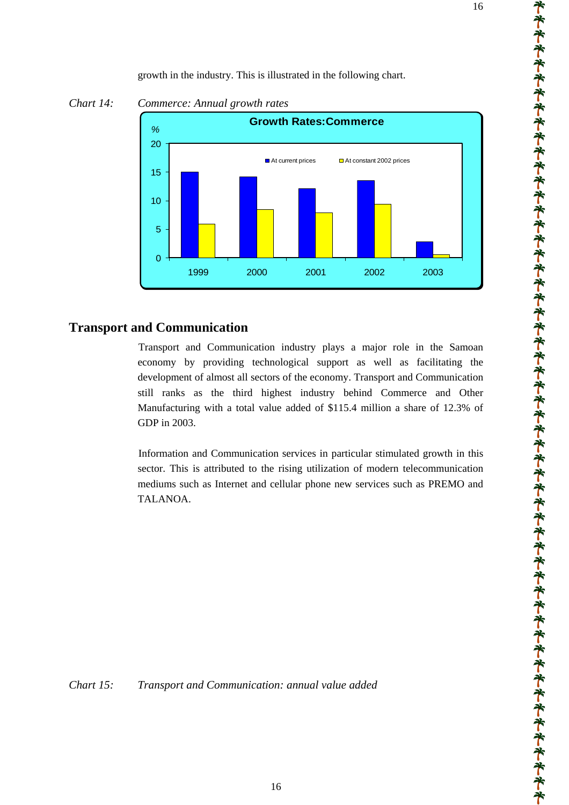growth in the industry. This is illustrated in the following chart.



*Chart 14: Commerce: Annual growth rates* 

# **Transport and Communication**

Transport and Communication industry plays a major role in the Samoan economy by providing technological support as well as facilitating the development of almost all sectors of the economy. Transport and Communication still ranks as the third highest industry behind Commerce and Other Manufacturing with a total value added of \$115.4 million a share of 12.3% of GDP in 2003.

Information and Communication services in particular stimulated growth in this sector. This is attributed to the rising utilization of modern telecommunication mediums such as Internet and cellular phone new services such as PREMO and TALANOA.

*Chart 15: Transport and Communication: annual value added*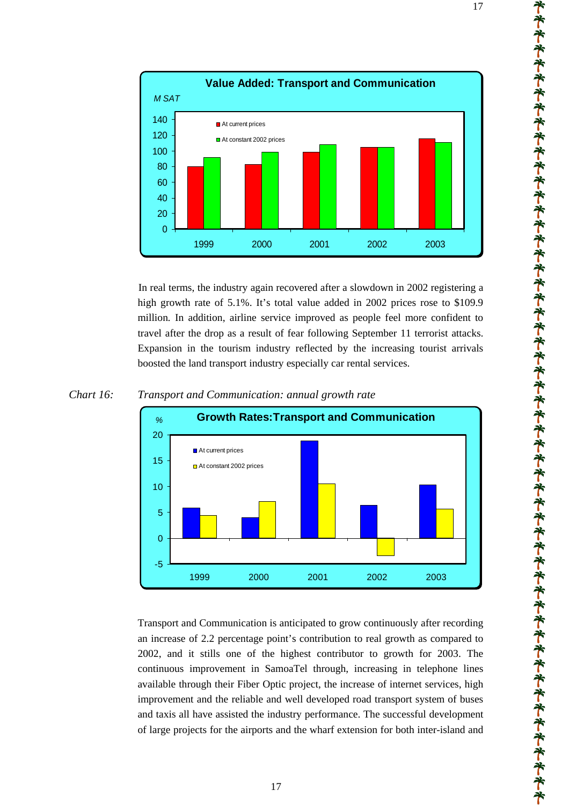



In real terms, the industry again recovered after a slowdown in 2002 registering a high growth rate of 5.1%. It's total value added in 2002 prices rose to \$109.9 million*.* In addition, airline service improved as people feel more confident to travel after the drop as a result of fear following September 11 terrorist attacks. Expansion in the tourism industry reflected by the increasing tourist arrivals boosted the land transport industry especially car rental services.



### *Chart 16: Transport and Communication: annual growth rate*

Transport and Communication is anticipated to grow continuously after recording an increase of 2.2 percentage point's contribution to real growth as compared to 2002, and it stills one of the highest contributor to growth for 2003. The continuous improvement in SamoaTel through, increasing in telephone lines available through their Fiber Optic project, the increase of internet services, high improvement and the reliable and well developed road transport system of buses and taxis all have assisted the industry performance. The successful development of large projects for the airports and the wharf extension for both inter-island and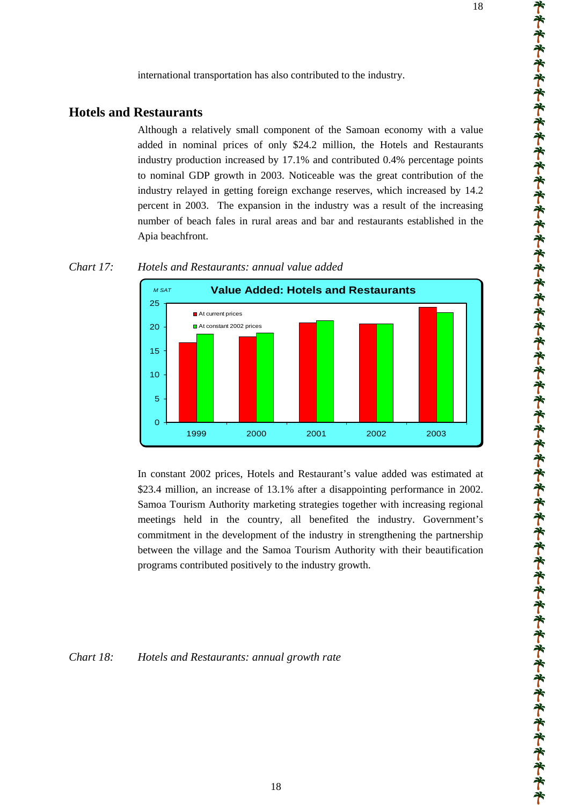international transportation has also contributed to the industry.

### **Hotels and Restaurants**

Although a relatively small component of the Samoan economy with a value added in nominal prices of only \$24.2 million, the Hotels and Restaurants industry production increased by 17.1% and contributed 0.4% percentage points to nominal GDP growth in 2003. Noticeable was the great contribution of the industry relayed in getting foreign exchange reserves, which increased by 14.2 percent in 2003. The expansion in the industry was a result of the increasing number of beach fales in rural areas and bar and restaurants established in the Apia beachfront.



### *Chart 17: Hotels and Restaurants: annual value added*

In constant 2002 prices, Hotels and Restaurant's value added was estimated at \$23.4 million, an increase of 13.1% after a disappointing performance in 2002. Samoa Tourism Authority marketing strategies together with increasing regional meetings held in the country, all benefited the industry. Government's commitment in the development of the industry in strengthening the partnership between the village and the Samoa Tourism Authority with their beautification programs contributed positively to the industry growth.

*Chart 18: Hotels and Restaurants: annual growth rate*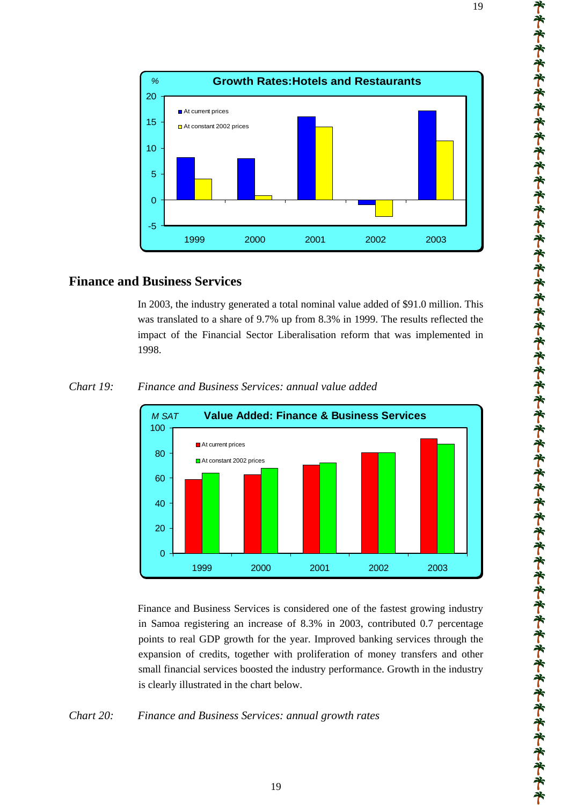

# **Finance and Business Services**

In 2003, the industry generated a total nominal value added of \$91.0 million. This was translated to a share of 9.7% up from 8.3% in 1999. The results reflected the impact of the Financial Sector Liberalisation reform that was implemented in 1998.



*Chart 19: Finance and Business Services: annual value added*

Finance and Business Services is considered one of the fastest growing industry in Samoa registering an increase of 8.3% in 2003, contributed 0.7 percentage points to real GDP growth for the year. Improved banking services through the expansion of credits, together with proliferation of money transfers and other small financial services boosted the industry performance. Growth in the industry is clearly illustrated in the chart below.

### *Chart 20: Finance and Business Services: annual growth rates*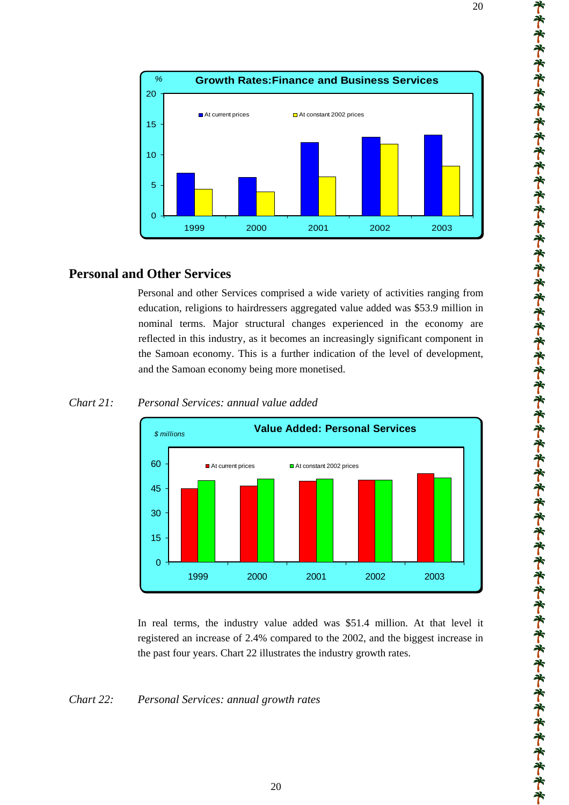

# **Personal and Other Services**

Personal and other Services comprised a wide variety of activities ranging from education, religions to hairdressers aggregated value added was \$53.9 million in nominal terms. Major structural changes experienced in the economy are reflected in this industry, as it becomes an increasingly significant component in the Samoan economy. This is a further indication of the level of development, and the Samoan economy being more monetised.



### *Chart 21: Personal Services: annual value added*

In real terms, the industry value added was \$51.4 million. At that level it registered an increase of 2.4% compared to the 2002, and the biggest increase in the past four years. Chart 22 illustrates the industry growth rates.

### *Chart 22: Personal Services: annual growth rates*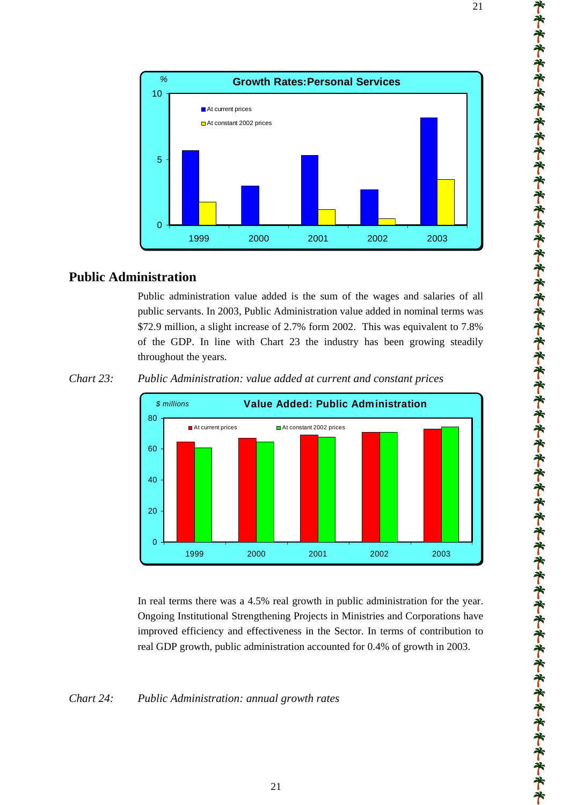



# **Public Administration**

Public administration value added is the sum of the wages and salaries of all public servants. In 2003, Public Administration value added in nominal terms was \$72.9 million, a slight increase of 2.7% form 2002. This was equivalent to 7.8% of the GDP. In line with Chart 23 the industry has been growing steadily throughout the years.

*Chart 23: Public Administration: value added at current and constant prices* 



In real terms there was a 4.5% real growth in public administration for the year. Ongoing Institutional Strengthening Projects in Ministries and Corporations have improved efficiency and effectiveness in the Sector. In terms of contribution to real GDP growth, public administration accounted for 0.4% of growth in 2003.

### *Chart 24: Public Administration: annual growth rates*